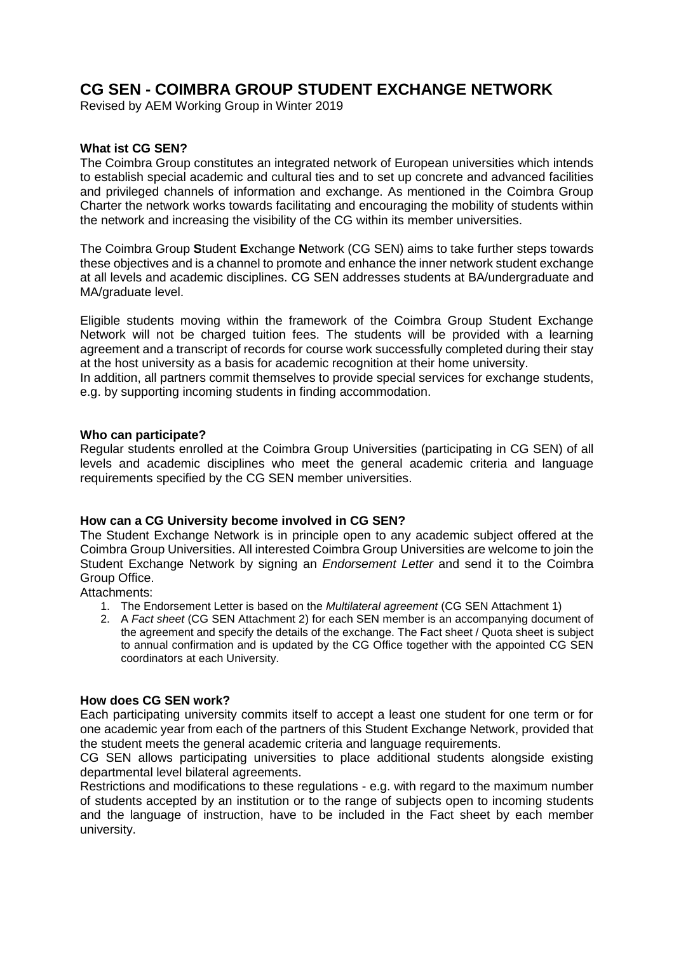# **CG SEN - COIMBRA GROUP STUDENT EXCHANGE NETWORK**

Revised by AEM Working Group in Winter 2019

# **What ist CG SEN?**

The Coimbra Group constitutes an integrated network of European universities which intends to establish special academic and cultural ties and to set up concrete and advanced facilities and privileged channels of information and exchange. As mentioned in the Coimbra Group Charter the network works towards facilitating and encouraging the mobility of students within the network and increasing the visibility of the CG within its member universities.

The Coimbra Group **S**tudent **E**xchange **N**etwork (CG SEN) aims to take further steps towards these objectives and is a channel to promote and enhance the inner network student exchange at all levels and academic disciplines. CG SEN addresses students at BA/undergraduate and MA/graduate level.

Eligible students moving within the framework of the Coimbra Group Student Exchange Network will not be charged tuition fees. The students will be provided with a learning agreement and a transcript of records for course work successfully completed during their stay at the host university as a basis for academic recognition at their home university.

In addition, all partners commit themselves to provide special services for exchange students, e.g. by supporting incoming students in finding accommodation.

## **Who can participate?**

Regular students enrolled at the Coimbra Group Universities (participating in CG SEN) of all levels and academic disciplines who meet the general academic criteria and language requirements specified by the CG SEN member universities.

# **How can a CG University become involved in CG SEN?**

The Student Exchange Network is in principle open to any academic subject offered at the Coimbra Group Universities. All interested Coimbra Group Universities are welcome to join the Student Exchange Network by signing an *Endorsement Letter* and send it to the Coimbra Group Office.

Attachments:

- 1. The Endorsement Letter is based on the *Multilateral agreement* (CG SEN Attachment 1)
- 2. A *Fact sheet* (CG SEN Attachment 2) for each SEN member is an accompanying document of the agreement and specify the details of the exchange. The Fact sheet / Quota sheet is subject to annual confirmation and is updated by the CG Office together with the appointed CG SEN coordinators at each University.

#### **How does CG SEN work?**

Each participating university commits itself to accept a least one student for one term or for one academic year from each of the partners of this Student Exchange Network, provided that the student meets the general academic criteria and language requirements.

CG SEN allows participating universities to place additional students alongside existing departmental level bilateral agreements.

Restrictions and modifications to these regulations - e.g. with regard to the maximum number of students accepted by an institution or to the range of subjects open to incoming students and the language of instruction, have to be included in the Fact sheet by each member university.